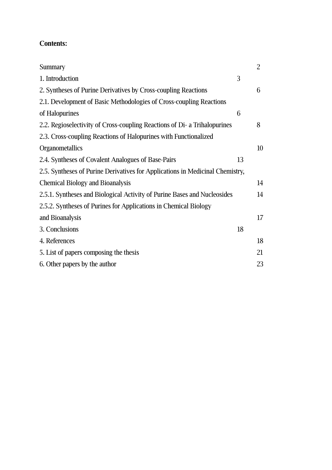# **Contents:**

| Summary                                                                       |    | $\overline{2}$ |
|-------------------------------------------------------------------------------|----|----------------|
| 1. Introduction                                                               | 3  |                |
| 2. Syntheses of Purine Derivatives by Cross-coupling Reactions                |    | 6              |
| 2.1. Development of Basic Methodologies of Cross-coupling Reactions           |    |                |
| of Halopurines                                                                | 6  |                |
| 2.2. Regioselectivity of Cross-coupling Reactions of Di- a Trihalopurines     |    | 8              |
| 2.3. Cross-coupling Reactions of Halopurines with Functionalized              |    |                |
| Organometallics                                                               |    | 10             |
| 2.4. Syntheses of Covalent Analogues of Base-Pairs                            | 13 |                |
| 2.5. Syntheses of Purine Derivatives for Applications in Medicinal Chemistry, |    |                |
| <b>Chemical Biology and Bioanalysis</b>                                       |    | 14             |
| 2.5.1. Syntheses and Biological Activity of Purine Bases and Nucleosides      |    | 14             |
| 2.5.2. Syntheses of Purines for Applications in Chemical Biology              |    |                |
| and Bioanalysis                                                               |    | 17             |
| 3. Conclusions                                                                | 18 |                |
| 4. References                                                                 |    | 18             |
| 5. List of papers composing the thesis                                        |    | 21             |
| 6. Other papers by the author                                                 |    | 23             |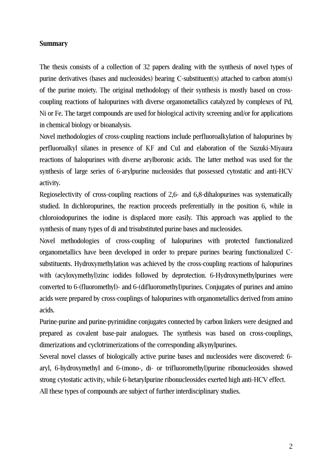## **Summary**

The thesis consists of a collection of 32 papers dealing with the synthesis of novel types of purine derivatives (bases and nucleosides) bearing C-substituent(s) attached to carbon atom(s) of the purine moiety. The original methodology of their synthesis is mostly based on crosscoupling reactions of halopurines with diverse organometallics catalyzed by complexes of Pd, Ni or Fe. The target compounds are used for biological activity screening and/or for applications in chemical biology or bioanalysis.

Novel methodologies of cross-coupling reactions include perfluoroalkylation of halopurines by perfluoroalkyl silanes in presence of KF and CuI and elaboration of the Suzuki-Miyaura reactions of halopurines with diverse arylboronic acids. The latter method was used for the synthesis of large series of 6-arylpurine nucleosides that possessed cytostatic and anti-HCV activity.

Regioselectivity of cross-coupling reactions of 2,6- and 6,8-dihalopurines was systematically studied. In dichloropurines, the reaction proceeds preferentially in the position 6, while in chloroiodopurines the iodine is displaced more easily. This approach was applied to the synthesis of many types of di and trisubstituted purine bases and nucleosides.

Novel methodologies of cross-coupling of halopurines with protected functionalized organometallics have been developed in order to prepare purines bearing functionalized Csubstituents. Hydroxymethylation was achieved by the cross-coupling reactions of halopurines with (acyloxymethyl)zinc iodides followed by deprotection. 6-Hydroxymethylpurines were converted to 6-(fluoromethyl)- and 6-(difluoromethyl)purines. Conjugates of purines and amino acids were prepared by cross-couplings of halopurines with organometallics derived from amino acids.

Purine-purine and purine-pyrimidine conjugates connected by carbon linkers were designed and prepared as covalent base-pair analogues. The synthesis was based on cross-couplings, dimerizations and cyclotrimerizations of the corresponding alkynylpurines.

Several novel classes of biologically active purine bases and nucleosides were discovered: 6 aryl, 6-hydroxymethyl and 6-(mono-, di- or trifluoromethyl)purine ribonucleosides showed strong cytostatic activity, while 6-hetarylpurine ribonucleosides exerted high anti-HCV effect. All these types of compounds are subject of further interdisciplinary studies.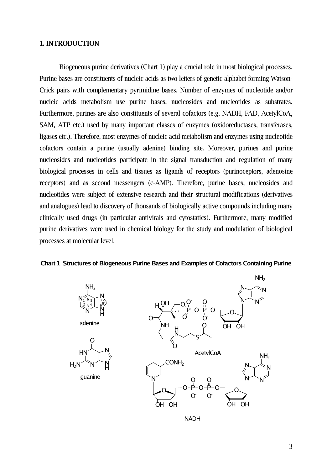#### **1. INTRODUCTION**

Biogeneous purine derivatives (Chart 1) play a crucial role in most biological processes. Purine bases are constituents of nucleic acids as two letters of genetic alphabet forming Watson-Crick pairs with complementary pyrimidine bases. Number of enzymes of nucleotide and/or nucleic acids metabolism use purine bases, nucleosides and nucleotides as substrates. Furthermore, purines are also constituents of several cofactors (e.g. NADH, FAD, AcetylCoA, SAM, ATP etc.) used by many important classes of enzymes (oxidoreductases, transferases, ligases etc.). Therefore, most enzymes of nucleic acid metabolism and enzymes using nucleotide cofactors contain a purine (usually adenine) binding site. Moreover, purines and purine nucleosides and nucleotides participate in the signal transduction and regulation of many biological processes in cells and tissues as ligands of receptors (purinoceptors, adenosine receptors) and as second messengers (c-AMP). Therefore, purine bases, nucleosides and nucleotides were subject of extensive research and their structural modifications (derivatives and analogues) lead to discovery of thousands of biologically active compounds including many clinically used drugs (in particular antivirals and cytostatics). Furthermore, many modified purine derivatives were used in chemical biology for the study and modulation of biological processes at molecular level.

#### **Chart 1 Structures of Biogeneous Purine Bases and Examples of Cofactors Containing Purine**



NADH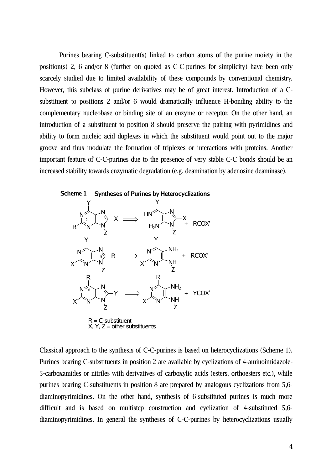Purines bearing C-substituent(s) linked to carbon atoms of the purine moiety in the position(s) 2, 6 and/or 8 (further on quoted as C-C-purines for simplicity) have been only scarcely studied due to limited availability of these compounds by conventional chemistry. However, this subclass of purine derivatives may be of great interest. Introduction of a Csubstituent to positions 2 and/or 6 would dramatically influence H-bonding ability to the complementary nucleobase or binding site of an enzyme or receptor. On the other hand, an introduction of a substituent to position 8 should preserve the pairing with pyrimidines and ability to form nucleic acid duplexes in which the substituent would point out to the major groove and thus modulate the formation of triplexes or interactions with proteins. Another important feature of C-C-purines due to the presence of very stable C-C bonds should be an increased stability towards enzymatic degradation (e.g. deamination by adenosine deaminase).



Classical approach to the synthesis of C-C-purines is based on heterocyclizations (Scheme 1). Purines bearing C-substituents in position 2 are available by cyclizations of 4-aminoimidazole-5-carboxamides or nitriles with derivatives of carboxylic acids (esters, orthoesters etc.), while purines bearing C-substituents in position 8 are prepared by analogous cyclizations from 5,6 diaminopyrimidines. On the other hand, synthesis of 6-substituted purines is much more difficult and is based on multistep construction and cyclization of 4-substituted 5,6 diaminopyrimidines. In general the syntheses of C-C-purines by heterocyclizations usually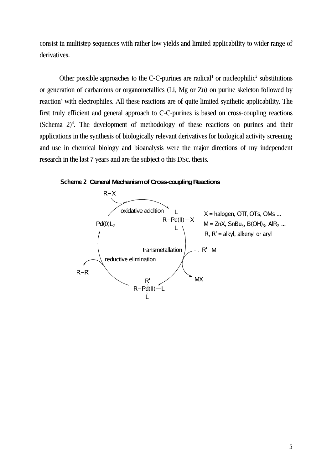consist in multistep sequences with rather low yields and limited applicability to wider range of derivatives.

Other possible approaches to the C-C-purines are radical<sup>[1](#page-18-0)</sup> or nucleophilic<sup>[2](#page-18-1)</sup> substitutions or generation of carbanions or organometallics (Li, Mg or Zn) on purine skeleton followed by reaction<sup>[3](#page-18-2)</sup> with electrophiles. All these reactions are of quite limited synthetic applicability. The first truly efficient and general approach to C-C-purines is based on cross-coupling reactions (Schema  $2)^4$  $2)^4$ . The development of methodology of these reactions on purines and their applications in the synthesis of biologically relevant derivatives for biological activity screening and use in chemical biology and bioanalysis were the major directions of my independent research in the last 7 years and are the subject o this DSc. thesis.



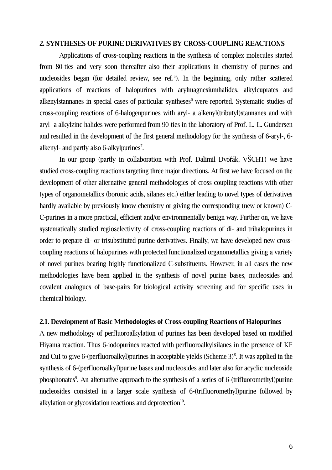## **2. SYNTHESES OF PURINE DERIVATIVES BY CROSS-COUPLING REACTIONS**

Applications of cross-coupling reactions in the synthesis of complex molecules started from 80-ties and very soon thereafter also their applications in chemistry of purines and nucleosides began (for detailed review, see ref.<sup>[5](#page-18-4)</sup>). In the beginning, only rather scattered applications of reactions of halopurines with arylmagnesiumhalides, alkylcuprates and alkenylstannanes in special cases of particular syntheses [6](#page-18-5) were reported. Systematic studies of cross-coupling reactions of 6-halogenpurines with aryl- a alkenyl(tributyl)stannanes and with aryl- a alkylzinc halides were performed from 90-ties in the laboratory of Prof. L.-L. Gundersen and resulted in the development of the first general methodology for the synthesis of 6-aryl-, 6- alkenyl- and partly also 6-alkylpurines<sup>[7](#page-18-6)</sup>.

In our group (partly in collaboration with Prof. Dalimil Dvořák, VŠCHT) we have studied cross-coupling reactions targeting three major directions. At first we have focused on the development of other alternative general methodologies of cross-coupling reactions with other types of organometallics (boronic acids, silanes etc.) either leading to novel types of derivatives hardly available by previously know chemistry or giving the corresponding (new or known) C-C-purines in a more practical, efficient and/or environmentally benign way. Further on, we have systematically studied regioselectivity of cross-coupling reactions of di- and trihalopurines in order to prepare di- or trisubstituted purine derivatives. Finally, we have developed new crosscoupling reactions of halopurines with protected functionalized organometallics giving a variety of novel purines bearing highly functionalized C-substituents. However, in all cases the new methodologies have been applied in the synthesis of novel purine bases, nucleosides and covalent analogues of base-pairs for biological activity screening and for specific uses in chemical biology.

## **2.1. Development of Basic Methodologies of Cross-coupling Reactions of Halopurines**

A new methodology of perfluoroalkylation of purines has been developed based on modified Hiyama reaction. Thus 6-iodopurines reacted with perfluoroalkylsilanes in the presence of KF and CuI to give 6-(perfluoroalkyl)purines in acceptable yields (Scheme 3) [8](#page-18-7) . It was applied in the synthesis of 6-(perfluoroalkyl)purine bases and nucleosides and later also for acyclic nucleoside phosphonates<sup>[9](#page-18-8)</sup>. An alternative approach to the synthesis of a series of 6-(trifluoromethyl)purine nucleosides consisted in a larger scale synthesis of 6-(trifluoromethyl)purine followed by alkylation or glycosidation reactions and deprotection $10$ .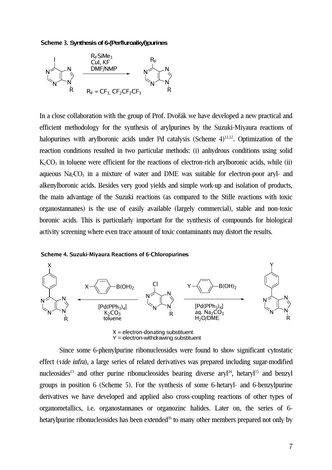#### **Scheme 3. Synthesisof 6-(Perfluroalkyl)purines**



In a close collaboration with the group of Prof. Dvořák we have developed a new practical and efficient methodology for the synthesis of arylpurines by the Suzuki-Miyaura reactions of halopurines with arylboronic acids under Pd catalysis (Scheme 4)<sup>[11](#page-18-10)[,12](#page-18-11)</sup>. Optimization of the reaction conditions resulted in two particular methods: (i) anhydrous conditions using solid  $K_2CO_3$  in toluene were efficient for the reactions of electron-rich arylboronic acids, while (ii) aqueous  $Na_2CO_3$  in a mixture of water and DME was suitable for electron-poor aryl- and alkenylboronic acids. Besides very good yields and simple work-up and isolation of products, the main advantage of the Suzuki reactions (as compared to the Stille reactions with toxic organostannanes) is the use of easily available (largely commercial), stable and non-toxic boronic acids. This is particularly important for the synthesis of compounds for biological activity screening where even trace amount of toxic contaminants may distort the results.





Since some 6-phenylpurine ribonucleosides were found to show significant cytostatic effect (vide infra), a large series of related derivatives was prepared including sugar-modified nucleosides<sup>[13](#page-18-12)</sup> and other purine ribonucleosides bearing diverse aryl<sup>[14](#page-18-13)</sup>, hetaryl<sup>[15](#page-18-14)</sup> and benzyl groups in position 6 (Scheme 5). For the synthesis of some 6-hetaryl- and 6-benzylpurine derivatives we have developed and applied also cross-coupling reactions of other types of organometallics, i.e. organostannanes or organozinc halides. Later on, the series of 6- hetarylpurine ribonucleosides has been extended<sup>[16](#page-18-15)</sup> to many other members prepared not only by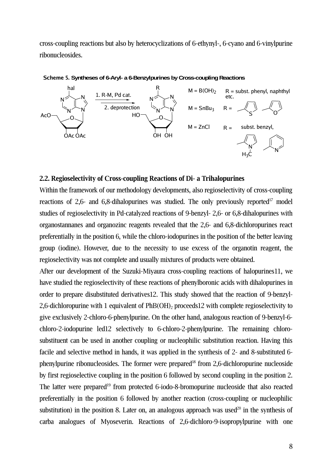cross-coupling reactions but also by heterocyclizations of 6-ethynyl-, 6-cyano and 6-vinylpurine ribonucleosides.



#### **Scheme 5.** Syntheses of 6-Aryl- a 6-Benzylpurines by Cross-coupling Reactions

## **2.2. Regioselectivity of Cross-coupling Reactions of Di- a Trihalopurines**

Within the framework of our methodology developments, also regioselectivity of cross-coupling reactions of 2,6- and 6,8-dihalopurines was studied. The only previously reported<sup>[17](#page-19-0)</sup> model studies of regioselectivity in Pd-catalyzed reactions of 9-benzyl- 2,6- or 6,8-dihalopurines with organostannanes and organozinc reagents revealed that the 2,6- and 6,8-dichloropurines react preferentially in the position 6, while the chloro-iodopurines in the position of the better leaving group (iodine). However, due to the necessity to use excess of the organotin reagent, the regioselectivity was not complete and usually mixtures of products were obtained.

After our development of the Suzuki-Miyaura cross-coupling reactions of halopurines[11](#page-18-10), we have studied the regioselectivity of these reactions of phenylboronic acids with dihalopurines in order to prepare disubstituted derivative[s12](#page-18-11). This study showed that the reaction of 9-benzyl-2,6-dichloropurine with 1 equivalent of PhB(OH)<sub>2</sub> proceeds[12](#page-18-11) with complete regioselectivity to give exclusively 2-chloro-6-phenylpurine. On the other hand, analogous reaction of 9-benzyl-6 chloro-2-iodopurine le[d12](#page-18-11) selectively to 6-chloro-2-phenylpurine. The remaining chlorosubstituent can be used in another coupling or nucleophilic substitution reaction. Having this facile and selective method in hands, it was applied in the synthesis of 2- and 8-substituted 6- phenylpurine ribonucleosides. The former were prepared<sup>[18](#page-19-1)</sup> from 2,6-dichloropurine nucleoside by first regioselective coupling in the position 6 followed by second coupling in the position 2. The latter were prepared<sup>[19](#page-19-2)</sup> from protected 6-iodo-8-bromopurine nucleoside that also reacted preferentially in the position 6 followed by another reaction (cross-coupling or nucleophilic substitution) in the position 8. Later on, an analogous approach was used<sup>[20](#page-19-3)</sup> in the synthesis of carba analogues of Myoseverin. Reactions of 2,6-dichloro-9-isopropylpurine with one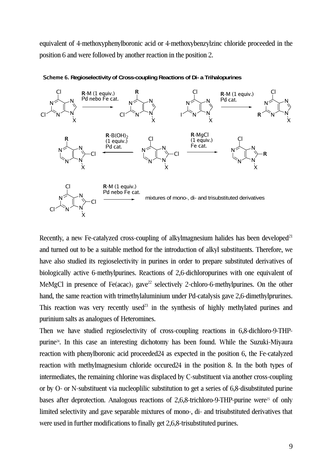equivalent of 4-methoxyphenylboronic acid or 4-methoxybenzylzinc chloride proceeded in the position 6 and were followed by another reaction in the position 2.



**Scheme 6. Regioselectivityof Cross-couplingReactionsof Di- aTrihalopurines**

Recently, a new Fe-catalyzed cross-coupling of alkylmagnesium halides has been developed<sup>[21](#page-19-5)</sup> and turned out to be a suitable method for the introduction of alkyl substituents. Therefore, we have also studied its regioselectivity in purines in order to prepare substituted derivatives of biologically active 6-methylpurines. Reactions of 2,6-dichloropurines with one equivalent of MeMgCl in presence of Fe(acac)<sub>3</sub> gave<sup>[22](#page-19-6)</sup> selectively 2-chloro-6-methylpurines. On the other hand, the same reaction with trimethylaluminium under Pd-catalysis gave 2,6-dimethylprurines. This reaction was very recently used<sup>[23](#page-19-7)</sup> in the synthesis of highly methylated purines and purinium salts as analogues of Heteromines.

Then we have studied regioselectivity of cross-coupling reactions in 6,8-dichloro-9-THPpurine [24](#page-19-4) . In this case an interesting dichotomy has been found. While the Suzuki-Miyaura reaction with phenylboronic acid proceeded[24](#page-19-4) as expected in the position 6, the Fe-catalyzed reaction with methylmagnesium chloride occure[d24](#page-19-4) in the position 8. In the both types of intermediates, the remaining chlorine was displaced by C-substituent via another cross-coupling or by O- or N-substituent via nucleoplilic substitution to get a series of 6,8-disubstituted purine bases after deprotection. Analogous reactions of 2,6,8-trichloro-9-THP-purine were<sup>[25](#page-19-8)</sup> of only limited selectivity and gave separable mixtures of mono-, di- and trisubstituted derivatives that were used in further modifications to finally get 2,6,8-trisubstituted purines.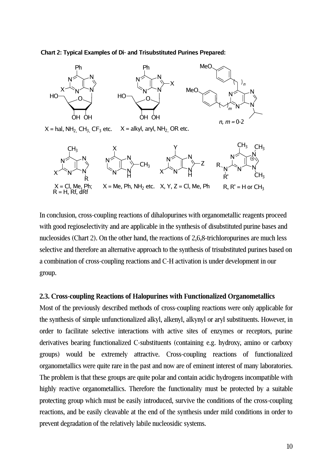#### **Chart 2: Typical Examples of Di- and Trisubstituted Purines Prepared:**



In conclusion, cross-coupling reactions of dihalopurines with organometallic reagents proceed with good regioselectivity and are applicable in the synthesis of disubstituted purine bases and nucleosides (Chart 2). On the other hand, the reactions of 2,6,8-trichloropurines are much less selective and therefore an alternative approach to the synthesis of trisubstituted purines based on a combination of cross-coupling reactions and C-H activation is under development in our group.

#### **2.3. Cross-coupling Reactions of Halopurines with Functionalized Organometallics**

Most of the previously described methods of cross-coupling reactions were only applicable for the synthesis of simple unfunctionalized alkyl, alkenyl, alkynyl or aryl substituents. However, in order to facilitate selective interactions with active sites of enzymes or receptors, purine derivatives bearing functionalized C-substituents (containing e.g. hydroxy, amino or carboxy groups) would be extremely attractive. Cross-coupling reactions of functionalized organometallics were quite rare in the past and now are of eminent interest of many laboratories. The problem is that these groups are quite polar and contain acidic hydrogens incompatible with highly reactive organometallics. Therefore the functionality must be protected by a suitable protecting group which must be easily introduced, survive the conditions of the cross-coupling reactions, and be easily cleavable at the end of the synthesis under mild conditions in order to prevent degradation of the relatively labile nucleosidic systems.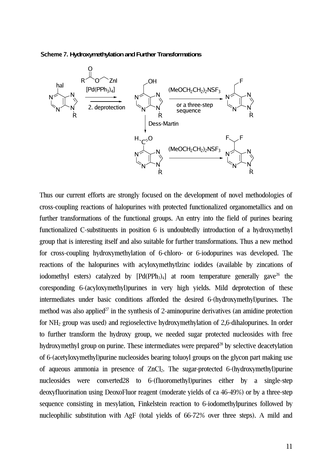#### **Scheme 7. Hydroxymethylation and Further Transformations**



Thus our current efforts are strongly focused on the development of novel methodologies of cross-coupling reactions of halopurines with protected functionalized organometallics and on further transformations of the functional groups. An entry into the field of purines bearing functionalized C-substituents in position 6 is undoubtedly introduction of a hydroxymethyl group that is interesting itself and also suitable for further transformations. Thus a new method for cross-coupling hydroxymethylation of 6-chloro- or 6-iodopurines was developed. The reactions of the halopurines with acyloxymethytlzinc iodides (available by zincations of iodomethyl esters) catalyzed by  $[Pd(PPh_3)_4]$  at room temperature generally gave<sup>[26](#page-19-10)</sup> the coresponding 6-(acyloxymethyl)purines in very high yields. Mild deprotection of these intermediates under basic conditions afforded the desired 6-(hydroxymethyl)purines. The method was also applied<sup>[27](#page-19-11)</sup> in the synthesis of 2-aminopurine derivatives (an amidine protection for NH<sup>2</sup> group was used) and regioselective hydroxymethylation of 2,6-dihalopurines. In order to further transform the hydroxy group, we needed sugar protected nucleosides with free hydroxymethyl group on purine. These intermediates were prepared<sup>[28](#page-19-9)</sup> by selective deacetylation of 6-(acetyloxymethyl)purine nucleosides bearing toluoyl groups on the glycon part making use of aqueous ammonia in presence of  $ZnCl<sub>2</sub>$ . The sugar-protected 6-(hydroxymethyl)purine nucleosides were converted[28](#page-19-9) to 6-(fluoromethyl)purines either by a single-step deoxyfluorination using DeoxoFluor reagent (moderate yields of ca 46-49%) or by a three-step sequence consisting in mesylation, Finkelstein reaction to 6-iodomethylpurines followed by nucleophilic substitution with AgF (total yields of 66-72% over three steps). A mild and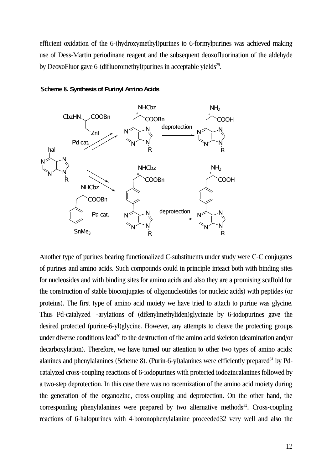efficient oxidation of the 6-(hydroxymethyl)purines to 6-formylpurines was achieved making use of Dess-Martin periodinane reagent and the subsequent deoxofluorination of the aldehyde by DeoxoFluor gave 6-(difluoromethyl)purines in acceptable yields<sup>[29](#page-19-13)</sup>.



**Scheme 8. Synthesis of Purinyl Amino Acids** 

Another type of purines bearing functionalized C-substituents under study were C-C conjugates of purines and amino acids. Such compounds could in principle inteact both with binding sites for nucleosides and with binding sites for amino acids and also they are a promising scaffold for the construction of stable bioconjugates of oligonucleotides (or nucleic acids) with peptides (or proteins). The first type of amino acid moiety we have tried to attach to purine was glycine. Thus Pd-catalyzed -arylations of (difenylmethyliden)glycinate by 6-iodopurines gave the desired protected (purine-6-yl)glycine. However, any attempts to cleave the protecting groups under diverse conditions lead<sup>[30](#page-19-14)</sup> to the destruction of the amino acid skeleton (deamination and/or decarboxylation). Therefore, we have turned our attention to other two types of amino acids: alanines and phenylalanines (Scheme 8). (Purin-6-yl)alanines were efficiently prepared<sup>[31](#page-19-15)</sup> by Pdcatalyzed cross-coupling reactions of 6-iodopurines with protected iodozincalanines followed by a two-step deprotection. In this case there was no racemization of the amino acid moiety during the generation of the organozinc, cross-coupling and deprotection. On the other hand, the corresponding phenylalanines were prepared by two alternative methods<sup>[32](#page-19-12)</sup>. Cross-coupling reactions of 6-halopurines with 4-boronophenylalanine proceeded[32](#page-19-12) very well and also the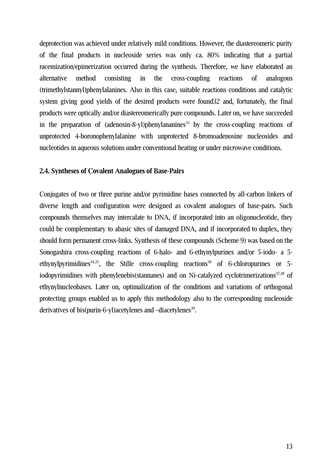deprotection was achieved under relatively mild conditions. However, the diastereomeric purity of the final products in nucleoside series was only ca. 80% indicating that a partial racemization/epimerization occurred during the synthesis. Therefore, we have elaborated an alternative method consisting in the cross-coupling reactions of analogous (trimethylstannyl)phenylalanines. Also in this case, suitable reactions conditions and catalytic system giving good yields of the desired products were foun[d32](#page-19-12) and, fortunately, the final products were optically and/or diastereomerically pure compounds. Later on, we have succeeded in the preparation of (adenosin-8-yl)phenylananines [33](#page-19-16) by the cross-coupling reactions of unprotected 4-boronophenylalanine with unprotected 8-bromoadenosine nucleosides and nucleotides in aqueous solutions under conventional heating or under microwave conditions.

## **2.4. Syntheses of Covalent Analogues of Base-Pairs**

Conjugates of two or three purine and/or pyrimidine bases connected by all-carbon linkers of diverse length and configuration were designed as covalent analogues of base-pairs. Such compounds themselves may intercalate to DNA, if incorporated into an oligonucleotide, they could be complementary to abasic sites of damaged DNA, and if incorporated to duplex, they should form permanent cross-links. Synthesis of these compounds (Scheme 9) was based on the Sonogashira cross-coupling reactions of 6-halo- and 6-ethynylpurines and/or 5-iodo- a 5- ethynylpyrimidines<sup>[34](#page-19-17)[,35](#page-19-18)</sup>, the Stille cross-coupling reactions<sup>[36](#page-19-19)</sup> of 6-chloropurines or 5-iodopyrimidines with phenylenebis(stannanes) and on Ni-catalyzed cyclotrimerizations<sup>[37,](#page-19-20)[38](#page-19-21)</sup> of ethynylnucleobases. Later on, optimalization of the conditions and variations of orthogonal protecting groups enabled us to apply this methodology also to the corresponding nucleoside derivatives of bis(purin-6-yl)acetylenes and -diacetylenes<sup>[39](#page-19-22)</sup>.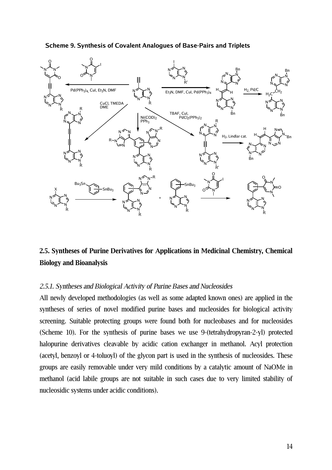

## **Scheme 9. Synthesis of Covalent Analogues of Base-Pairs and Triplets**

# **2.5. Syntheses of Purine Derivatives for Applications in Medicinal Chemistry, Chemical Biology and Bioanalysis**

## 2.5.1. Syntheses and Biological Activity of Purine Bases and Nucleosides

All newly developed methodologies (as well as some adapted known ones) are applied in the syntheses of series of novel modified purine bases and nucleosides for biological activity screening. Suitable protecting groups were found both for nucleobases and for nucleosides (Scheme 10). For the synthesis of purine bases we use 9-(tetrahydropyran-2-yl) protected halopurine derivatives cleavable by acidic cation exchanger in methanol. Acyl protection (acetyl, benzoyl or 4-toluoyl) of the glycon part is used in the synthesis of nucleosides. These groups are easily removable under very mild conditions by a catalytic amount of NaOMe in methanol (acid labile groups are not suitable in such cases due to very limited stability of nucleosidic systems under acidic conditions).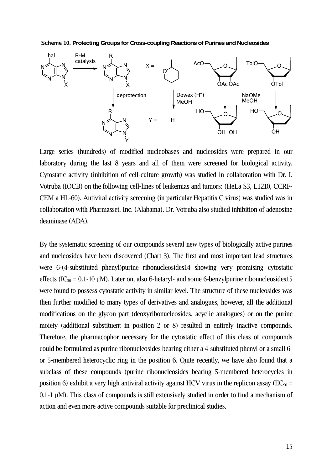**Scheme 10. ProtectingGroupsfor Cross-couplingReactionsof Purines andNucleosides**



Large series (hundreds) of modified nucleobases and nucleosides were prepared in our laboratory during the last 8 years and all of them were screened for biological activity. Cytostatic activity (inhibition of cell-culture growth) was studied in collaboration with Dr. I. Votruba (IOCB) on the following cell-lines of leukemias and tumors: (HeLa S3, L1210, CCRF-CEM a HL-60). Antiviral activity screening (in particular Hepatitis C virus) was studied was in collaboration with Pharmasset, Inc. (Alabama). Dr. Votruba also studied inhibition of adenosine deaminase (ADA).

By the systematic screening of our compounds several new types of biologically active purines and nucleosides have been discovered (Chart 3). The first and most important lead structures were 6-(4-substituted phenyl)purine ribonucleoside[s14](#page-18-13) showing very promising cytostatic effects (IC<sub>50</sub> = 0.1-10  $\mu$ M). Later on, also 6-hetaryl- and some 6-benzylpurine ribonucleosides[15](#page-18-14) were found to possess cytostatic activity in similar level. The structure of these nucleosides was then further modified to many types of derivatives and analogues, however, all the additional modifications on the glycon part (deoxyribonucleosides, acyclic analogues) or on the purine moiety (additional substituent in position 2 or 8) resulted in entirely inactive compounds. Therefore, the pharmacophor necessary for the cytostatic effect of this class of compounds could be formulated as purine ribonucleosides bearing either a 4-substituted phenyl or a small 6 or 5-membered heterocyclic ring in the position 6. Quite recently, we have also found that a subclass of these compounds (purine ribonucleosides bearing 5-membered heterocycles in position 6) exhibit a very high antiviral activity against HCV virus in the replicon assay ( $EC_{90}$  = 0.1-1 µM). This class of compounds is still extensively studied in order to find a mechanism of action and even more active compounds suitable for preclinical studies.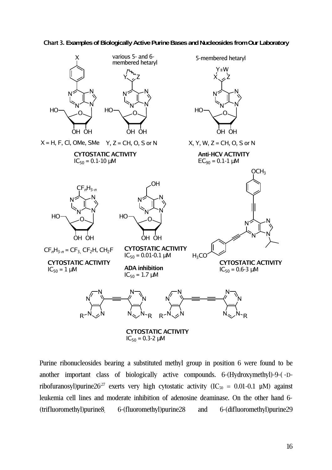



Purine ribonucleosides bearing a substituted methyl group in position 6 were found to be another important class of biologically active compounds. 6-(Hydroxymethyl)-9-( -Dribofuranosyl)purine $26^{27}$  $26^{27}$  $26^{27}$  exerts very high cytostatic activity (IC<sub>50</sub> = 0.01-0.1 µM) against leukemia cell lines and moderate inhibition of adenosine deaminase. On the other hand 6- (trifluoromethyl)purin[e8](#page-18-7), 6-(fluoromethyl)purin[e28](#page-19-9) and 6-(difluoromethyl)purine[29](#page-19-13)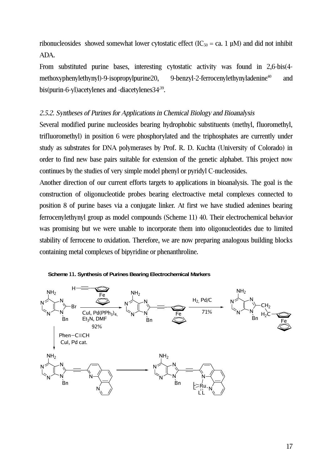ribonucleosides showed somewhat lower cytostatic effect (IC<sub>50</sub> = ca. 1 µM) and did not inhibit ADA.

From substituted purine bases, interesting cytostatic activity was found in 2,6-bis(4 methoxyphenylethynyl)-9-isopropylpurin[e20,](#page-19-3) 9-benzyl-2-ferrocenylethynyladenine<sup>[40](#page-19-23)</sup> and bis(purin-6-yl)acetylenes and -diacetylene[s34](#page-19-17)<sup>[39](#page-19-22)</sup>.

## 2.5.2. Syntheses of Purines for Applications in Chemical Biology and Bioanalysis

Several modified purine nucleosides bearing hydrophobic substituents (methyl, fluoromethyl, trifluoromethyl) in position 6 were phosphorylated and the triphosphates are currently under study as substrates for DNA polymerases by Prof. R. D. Kuchta (University of Colorado) in order to find new base pairs suitable for extension of the genetic alphabet. This project now continues by the studies of very simple model phenyl or pyridyl C-nucleosides.

Another direction of our current efforts targets to applications in bioanalysis. The goal is the construction of oligonucleotide probes bearing electroactive metal complexes connected to position 8 of purine bases via a conjugate linker. At first we have studied adenines bearing ferrocenylethynyl group as model compounds (Scheme 11) [40](#page-19-23). Their electrochemical behavior was promising but we were unable to incorporate them into oligonucleotides due to limited stability of ferrocene to oxidation. Therefore, we are now preparing analogous building blocks containing metal complexes of bipyridine or phenanthroline.



#### **Scheme 11. Synthesis of Purines Bearing Electrochemical Markers**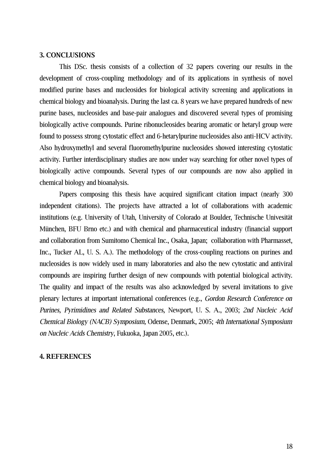#### **3. CONCLUSIONS**

This DSc. thesis consists of a collection of 32 papers covering our results in the development of cross-coupling methodology and of its applications in synthesis of novel modified purine bases and nucleosides for biological activity screening and applications in chemical biology and bioanalysis. During the last ca. 8 years we have prepared hundreds of new purine bases, nucleosides and base-pair analogues and discovered several types of promising biologically active compounds. Purine ribonucleosides bearing aromatic or hetaryl group were found to possess strong cytostatic effect and 6-hetarylpurine nucleosides also anti-HCV activity. Also hydroxymethyl and several fluoromethylpurine nucleosides showed interesting cytostatic activity. Further interdisciplinary studies are now under way searching for other novel types of biologically active compounds. Several types of our compounds are now also applied in chemical biology and bioanalysis.

Papers composing this thesis have acquired significant citation impact (nearly 300 independent citations). The projects have attracted a lot of collaborations with academic institutions (e.g. University of Utah, University of Colorado at Boulder, Technische Univesität München, BFU Brno etc.) and with chemical and pharmaceutical industry (financial support and collaboration from Sumitomo Chemical Inc., Osaka, Japan; collaboration with Pharmasset, Inc., Tucker AL, U. S. A.). The methodology of the cross-coupling reactions on purines and nucleosides is now widely used in many laboratories and also the new cytostatic and antiviral compounds are inspiring further design of new compounds with potential biological activity. The quality and impact of the results was also acknowledged by several invitations to give plenary lectures at important international conferences (e.g., Gordon Research Conference on Purines, Pyrimidines and Related Substances, Newport, U. S. A., 2003; 2nd Nucleic Acid Chemical Biology (NACB) Symposium, Odense, Denmark, 2005; 4th International Symposium on Nucleic Acids Chemistry, Fukuoka, Japan 2005, etc.).

#### **4. REFERENCES**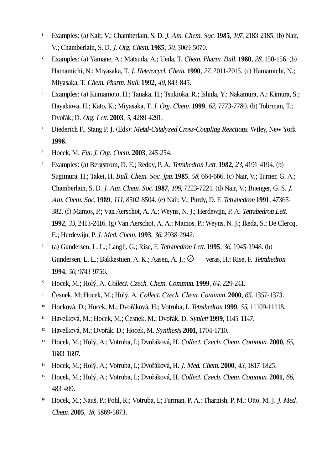- <span id="page-18-0"></span><sup>1</sup> Examples: (a) Nair, V.; Chamberlain, S. D. J. Am. Chem. Soc. **1985**, 107, 2183-2185. (b) Nair, V.; Chamberlain, S. D. J. Org. Chem. **1985**, 50, 5069-5070.
- <span id="page-18-1"></span><sup>2</sup> Examples: (a) Yamane, A.; Matsuda, A.; Ueda, T. Chem. Pharm. Bull. **1980**, 28, 150-156. (b) Hamamichi, N.; Miyasaka, T. J. Heterocycl. Chem. **1990**, 27, 2011-2015. (c) Hamamichi, N.; Miyasaka, T. Chem. Pharm. Bull. **1992**, 40, 843-845.
- <span id="page-18-2"></span><sup>3</sup> Examples: (a) Kumamoto, H.; Tanaka, H.; Tsukioka, R.; Ishida, Y.; Nakamura, A.; Kimura, S.; Hayakawa, H.; Kato, K.; Miyasaka, T. J. Org. Chem. **1999**, 62, 7773-7780. (b) Tobrman, T.; Dvořák; D. Org. Lett. **2003**, 5, 4289-4291.
- <span id="page-18-3"></span><sup>4</sup> Diederich F., Stang P. J. (Eds): *Metal-Catalyzed Cross-Coupling Reactions*, Wiley, New York **1998**.
- <span id="page-18-4"></span><sup>5</sup> Hocek, M. Eur. J. Org. Chem. **2003**, 245-254.
- <span id="page-18-5"></span><sup>6</sup> Examples: (a) Bergstrom, D. E.; Reddy, P. A. Tetrahedron Lett. **1982**, 23, 4191-4194. (b) Sugimura, H.; Takei, H. Bull. Chem. Soc. Jpn. **1985**, 58, 664-666. (c) Nair, V.; Turner, G. A.; Chamberlain, S. D. J. Am. Chem. Soc. **1987**, 109, 7223-7224. (d) Nair, V.; Buenger, G. S. J. Am. Chem. Soc. **1989**, 111, 8502-8504. (e) Nair, V.; Purdy, D. F. Tetrahedron **1991**, 47365- 382. (f) Mamos, P.; Van Aerschot, A. A.; Weyns, N. J.; Herdewijn, P. A. Tetrahedron Lett. **1992**, 33, 2413-2416. (g) Van Aerschot, A. A.; Mamos, P.; Weyns, N. J.; Ikeda, S.; De Clercq, E.; Herdewijn, P. J. Med. Chem. **1993**, 36, 2938-2942.
- <span id="page-18-6"></span>7 (a) Gundersen, L. L.; Langli, G.; Rise, F. Tetrahedron Lett. **1995**, 36, 1945-1948. (b) Gundersen, L. L.; Bakkestuen, A. K.; Aasen, A. J.;  $\varnothing$  veras, H.; Rise, F. Tetrahedron **1994**, 50, 9743-9756.
- <span id="page-18-7"></span><sup>8</sup> Hocek, M.; Holý, A. Collect. Czech. Chem. Commun. **1999**, 64, 229-241.
- <span id="page-18-8"></span><sup>9</sup> Česnek, M; Hocek, M.; Holý, A. Collect. Czech. Chem. Commun. **2000**, 65, 1357-1373.
- <span id="page-18-9"></span><sup>10</sup> Hocková, D.; Hocek, M.; Dvořáková, H.; Votruba, I. Tetrahedron **1999**, 55, 11109-11118.
- <span id="page-18-10"></span><sup>11</sup> Havelková, M.; Hocek, M.; Česnek, M.; Dvořák, D. Synlett **1999**, 1145-1147.
- <span id="page-18-11"></span><sup>12</sup> Havelková, M.; Dvořák, D.; Hocek, M. Synthesis **2001**, 1704-1710.
- <span id="page-18-12"></span><sup>13</sup> Hocek, M.; Holý, A.; Votruba, I.; Dvořáková, H. Collect. Czech. Chem. Commun. **2000**, 65, 1683-1697.
- <span id="page-18-13"></span><sup>14</sup> Hocek, M.; Holý, A.; Votruba, I.; Dvořáková, H. J. Med. Chem. **2000**, 43, 1817-1825.
- <span id="page-18-14"></span><sup>15</sup> Hocek, M.; Holý, A.; Votruba, I.; Dvořáková, H. Collect. Czech. Chem. Commun. **2001**, 66, 483-499.
- <span id="page-18-15"></span><sup>16</sup> Hocek, M.; Nauš, P.; Pohl, R.; Votruba, I.; Furman, P. A.; Tharnish, P. M.; Otto, M. J. *J. Med.* Chem. **2005**, 48, 5869-5873.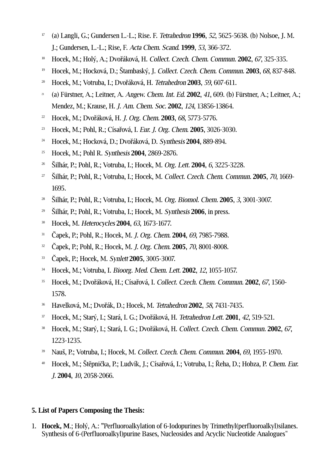- <span id="page-19-0"></span> (a) Langli, G.; Gundersen L.-L.; Rise. F. Tetrahedron **1996**, 52, 5625-5638. (b) Nolsoe, J. M. J.; Gundersen, L.-L.; Rise, F. Acta Chem. Scand. **1999**, 53, 366-372.
- <span id="page-19-1"></span>Hocek, M.; Holý, A.; Dvořáková, H. Collect. Czech. Chem. Commun. **2002**, 67, 325-335.
- <span id="page-19-2"></span>Hocek, M.; Hocková, D.; Štambaský, J. Collect. Czech. Chem. Commun. **2003**, 68, 837-848.
- <span id="page-19-3"></span>Hocek, M.; Votruba, I.; Dvořáková, H. Tetrahedron **2003**, 59, 607-611.
- <span id="page-19-5"></span> (a) Fürstner, A.; Leitner, A. Angew. Chem. Int. Ed. **2002**, 41, 609. (b) Fürstner, A.; Leitner, A.; Mendez, M.; Krause, H. J. Am. Chem. Soc. **2002**, 124, 13856-13864.
- <span id="page-19-6"></span>Hocek, M.; Dvořáková, H. J. Org. Chem. **2003**, 68, 5773-5776.
- <span id="page-19-7"></span>Hocek, M.; Pohl, R.; Císařová, I. Eur. J. Org. Chem. **2005**, 3026-3030.
- <span id="page-19-4"></span>Hocek, M.; Hocková, D.; Dvořáková, D. Synthesis **2004**, 889-894.
- <span id="page-19-8"></span>Hocek, M.; Pohl R. Synthesis **2004**, 2869-2876.
- <span id="page-19-10"></span>Šilhár, P.; Pohl, R.; Votruba, I.; Hocek, M. Org. Lett. **2004**, 6, 3225-3228.
- <span id="page-19-11"></span> Šilhár, P.; Pohl, R.; Votruba, I.; Hocek, M. Collect. Czech. Chem. Commun. **2005**, 70, 1669- 1695.
- <span id="page-19-9"></span>Šilhár, P.; Pohl, R.; Votruba, I.; Hocek, M. Org. Biomol. Chem. **2005**, 3, 3001-3007.
- <span id="page-19-13"></span>Šilhár, P.; Pohl, R.; Votruba, I.; Hocek, M. Synthesis **2006**, in press.
- <span id="page-19-14"></span>Hocek, M. Heterocycles **2004**, 63, 1673-1677.
- <span id="page-19-15"></span>Čapek, P.; Pohl, R.; Hocek, M. J. Org. Chem. **2004**, 69, 7985-7988.
- <span id="page-19-12"></span>Čapek, P.; Pohl, R.; Hocek, M. J. Org. Chem. **2005**, 70, 8001-8008.
- <span id="page-19-16"></span>Čapek, P.; Hocek, M. Synlett **2005**, 3005-3007.
- <span id="page-19-17"></span>Hocek, M.; Votruba, I. Bioorg. Med. Chem. Lett. **2002**, 12, 1055-1057.
- <span id="page-19-18"></span> Hocek, M.; Dvořáková, H.; Císařová, I. Collect. Czech. Chem. Commun. **2002**, 67, 1560- 1578.
- <span id="page-19-19"></span>Havelková, M.; Dvořák, D.; Hocek, M. Tetrahedron **2002**, 58, 7431-7435.
- <span id="page-19-20"></span>Hocek, M.; Starý, I.; Stará, I. G.; Dvořáková, H. Tetrahedron Lett. **2001**, 42, 519-521.
- <span id="page-19-21"></span> Hocek, M.; Starý, I.; Stará, I. G.; Dvořáková, H. Collect. Czech. Chem. Commun. **2002**, 67, 1223-1235.
- <span id="page-19-22"></span>Nauš, P.; Votruba, I.; Hocek, M. Collect. Czech. Chem. Commun. **2004**, 69, 1955-1970.
- <span id="page-19-23"></span> Hocek, M.; Štěpnička, P.; Ludvík, J.; Císařová, I.; Votruba, I.; Řeha, D.; Hobza, P. Chem. Eur. J. **2004**, 10, 2058-2066.

# **5. List of Papers Composing the Thesis:**

1. **Hocek, M**.; Holý, A.: "Perfluoroalkylation of 6-Iodopurines by Trimethyl(perfluoroalkyl)silanes. Synthesis of 6-(Perfluoroalkyl)purine Bases, Nucleosides and Acyclic Nucleotide Analogues"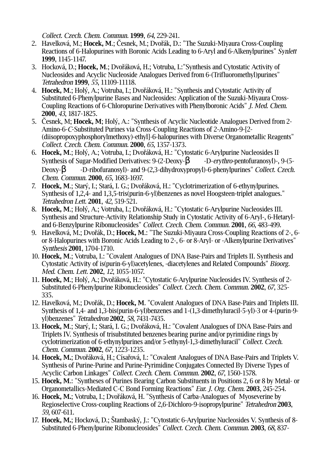Collect. Czech. Chem. Commun. **1999**, 64, 229-241.

- 2. Havelková, M.; **Hocek, M**.; Česnek, M.; Dvořák, D.: "The Suzuki-Miyaura Cross-Coupling Reactions of 6-Halopurines with Boronic Acids Leading to 6-Aryl and 6-Alkenylpurines" Synlett **1999**, 1145-1147.
- 3. Hocková, D.; **Hocek, M**.; Dvořáková, H.; Votruba, I.:"Synthesis and Cytostatic Activity of Nucleosides and Acyclic Nucleoside Analogues Derived from 6-(Trifluoromethyl)purines" Tetrahedron **1999**, 55, 11109-11118.
- 4. **Hocek, M**.; Holý, A.; Votruba, I.; Dvořáková, H.: "Synthesis and Cytostatic Activity of Substituted 6-Phenylpurine Bases and Nucleosides: Application of the Suzuki-Miyaura Cross-Coupling Reactions of 6-Chloropurine Derivatives with Phenylboronic Acids" J. Med. Chem. **2000**, 43, 1817-1825.
- 5. Česnek, M; **Hocek, M**; Holý, A.: "Synthesis of Acyclic Nucleotide Analogues Derived from 2- Amino-6-C-Substituted Purines via Cross-Coupling Reactions of 2-Amino-9-[2- (diisopropoxyphosphorylmethoxy)-ethyl]-6-halopurines with Diverse Organometallic Reagents" Collect. Czech. Chem. Commun. **2000**, 65, 1357-1373.
- 6. **Hocek, M.**; Holý, A.; Votruba, I.; Dvořáková, H.: "Cytostatic 6-Arylpurine Nucleosides II<sup>.</sup> Synthesis of Sugar-Modified Derivatives: 9-(2-Deoxy-β -D-erythro-pentofuranosyl)-, 9-(5-Deoxy-β -D-ribofuranosyl)- and 9-(2,3-dihydroxypropyl)-6-phenylpurines" Collect. Czech. Chem. Commun. **2000**, 65, 1683-1697.
- 7. **Hocek, M**.; Starý, I.; Stará, I. G.; Dvořáková, H.: "Cyclotrimerization of 6-ethynylpurines. Synthesis of 1,2,4- and 1,3,5-tris(purin-6-yl)benzenes as novel Hoogsteen-triplet analogues." Tetrahedron Lett. **2001**, 42, 519-521.
- 8. **Hocek, M**.; Holý, A.; Votruba, I.; Dvořáková, H.: "Cytostatic 6-Arylpurine Nucleosides III. Synthesis and Structure-Activity Relationship Study in Cytostatic Activity of 6-Aryl-, 6-Hetaryland 6-Benzylpurine Ribonucleosides" Collect. Czech. Chem. Commun. **2001**, 66, 483-499.
- 9. Havelková, M.; Dvořák, D.; **Hocek, M**.: "The Suzuki-Miyaura Cross-Coupling Reactions of 2-, 6 or 8-Halopurines with Boronic Acids Leading to 2-, 6- or 8-Aryl- or -Alkenylpurine Derivatives" Synthesis **2001**, 1704-1710.
- 10. **Hocek, M**.; Votruba, I.: "Covalent Analogues of DNA Base-Pairs and Triplets II. Synthesis and Cytostatic Activity of is(purin-6-yl)acetylenes, -diacetylenes and Related Compounds" Bioorg. Med. Chem. Lett. **2002**, 12, 1055-1057.
- 11. **Hocek, M**.; Holý, A.; Dvořáková, H.: "Cytostatic 6-Arylpurine Nucleosides IV. Synthesis of 2- Substituted 6-Phenylpurine Ribonucleosides" Collect. Czech. Chem. Commun. **2002**, 67, 325- 335.
- 12. Havelková, M.; Dvořák, D.; **Hocek, M**. "Covalent Analogues of DNA Base-Pairs and Triplets III. Synthesis of 1,4- and 1,3-bis(purin-6-yl)benzenes and 1-(1,3-dimethyluracil-5-yl)-3 or 4-(purin-9 yl)benzenes" Tetrahedron **2002**, 58, 7431-7435.
- 13. **Hocek, M**.; Starý, I.; Stará, I. G.; Dvořáková, H.: "Covalent Analogues of DNA Base-Pairs and Triplets IV. Synthesis of trisubstituted benzenes bearing purine and/or pyrimidine rings by cyclotrimerization of 6-ethynylpurines and/or 5-ethynyl-1,3-dimethyluracil" Collect. Czech. Chem. Commun. **2002**, 67, 1223-1235.
- 14. **Hocek, M.**; Dvořáková, H.; Císařová, I.: "Covalent Analogues of DNA Base-Pairs and Triplets V. Synthesis of Purine-Purine and Purine-Pyrimidine Conjugates Connected By Diverse Types of Acyclic Carbon Linkages" Collect. Czech. Chem. Commun. **2002**, 67, 1560-1578.
- 15. **Hocek, M**.: "Syntheses of Purines Bearing Carbon Substituents in Positions 2, 6 or 8 by Metal- or Organometallics-Mediated C-C Bond Forming Reactions" Eur. J. Org. Chem. **2003**, 245-254.
- 16. **Hocek, M.**; Votruba, I.; Dvořáková, H. "Synthesis of Carba-Analogues of Myoseverine by Regioselective Cross-coupling Reactions of 2,6-Dichloro-9-isopropylpurine" Tetrahedron **2003**, 59, 607-611.
- 17. **Hocek, M.**; Hocková, D.; Štambaský, J.: "Cytostatic 6-Arylpurine Nucleosides V. Synthesis of 8- Substituted 6-Phenylpurine Ribonucleosides" Collect. Czech. Chem. Commun. **2003**, 68, 837-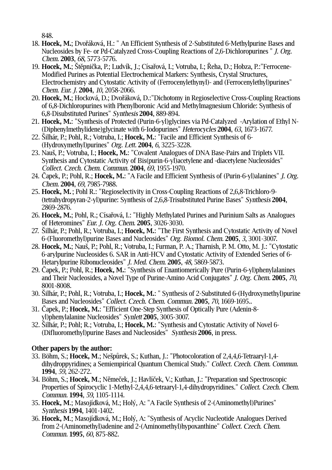848.

- 18. **Hocek, M.**; Dvořáková, H.: " An Efficient Synthesis of 2-Substituted 6-Methylpurine Bases and Nucleosides by Fe- or Pd-Catalyzed Cross-Coupling Reactions of 2,6-Dichloropurines " J. Org. Chem. **2003**, 68, 5773-5776.
- 19. **Hocek, M.**; Štěpnička, P.; Ludvík, J.; Císařová, I.; Votruba, I.; Řeha, D.; Hobza, P.:"Ferrocene-Modified Purines as Potential Electrochemical Markers: Synthesis, Crystal Structures, Electrochemistry and Cytostatic Activity of (Ferrocenylethynyl)- and (Ferrocenylethyl)purines" Chem. Eur. J. **2004**, 10, 2058-2066.
- 20. **Hocek, M.**; Hocková, D.; Dvořáková, D.:"Dichotomy in Regioselective Cross-Coupling Reactions of 6,8-Dichloropurines with Phenylboronic Acid and Methylmagnesium Chloride: Synthesis of 6,8-Disubstituted Purines" Synthesis **2004**, 889-894.
- 21. **Hocek, M.**: "Synthesis of Protected (Purin-6-yl)glycines via Pd-Catalyzed -Arylation of Ethyl N- (Diphenylmethylidene)glycinate with 6-Iodopurines" Heterocycles **2004**, 63, 1673-1677.
- 22. Šilhár, P.; Pohl, R.; Votruba, I.; **Hocek, M.**: "Facile and Efficient Synthesis of 6- (Hydroxymethyl)purines" Org. Lett. **2004**, 6, 3225-3228.
- 23. Nauš, P.; Votruba, I.; **Hocek, M.**: "Covalent Analogues of DNA Base-Pairs and Triplets VII. Synthesis and Cytostatic Activity of Bis(purin-6-yl)acetylene and -diacetylene Nucleosides" Collect. Czech. Chem. Commun. **2004**, 69, 1955-1970.
- 24. Čapek, P.; Pohl, R.; **Hocek, M.**: "A Facile and Efficient Synthesis of (Purin-6-yl)alanines" J. Org. Chem. **2004**, 69, 7985-7988.
- 25. **Hocek, M.** ; Pohl R.: "Regioselectivity in Cross-Coupling Reactions of 2,6,8-Trichloro-9- (tetrahydropyran-2-yl)purine: Synthesis of 2,6,8-Trisubstituted Purine Bases" Synthesis **2004**, 2869-2876.
- 26. **Hocek, M.**; Pohl, R.; Císařová, I.: "Highly Methylated Purines and Purinium Salts as Analogues of Heteromines" Eur. J. Org. Chem. **2005**, 3026-3030.
- 27. Šilhár, P.; Pohl, R.; Votruba, I.; **Hocek, M.**: "The First Synthesis and Cytostatic Activity of Novel 6-(Fluoromethyl)purine Bases and Nucleosides" Org. Biomol. Chem. **2005**, 3, 3001-3007.
- 28. **Hocek, M.**; Nauš, P.; Pohl, R.; Votruba, I.; Furman, P. A.; Tharnish, P. M. Otto, M. J.: "Cytostatic 6-arylpurine Nucleosides 6. SAR in Anti-HCV and Cytostatic Activity of Extended Series of 6- Hetarylpurine Ribonucleosides" J. Med. Chem. **2005**, 48, 5869-5873.
- 29. Čapek, P.; Pohl, R.; **Hocek, M.**: "Synthesis of Enantiomerically Pure (Purin-6-yl)phenylalanines and Their Nucleosides, a Novel Type of Purine-Amino Acid Conjugates" J. Org. Chem. **2005**, 70, 8001-8008.
- 30. Šilhár, P.; Pohl, R.; Votruba, I.; **Hocek, M.**: " Synthesis of 2-Substituted 6-(Hydroxymethyl)purine Bases and Nucleosides" Collect. Czech. Chem. Commun. **2005**, 70, 1669-1695..
- 31. Čapek, P.; **Hocek, M.**: "Efficient One-Step Synthesis of Optically Pure (Adenin-8 yl)phenylalanine Nucleosides" Synlett **2005**, 3005-3007.
- 32. Šilhár, P.; Pohl; R.; Votruba, I.; **Hocek, M.**: "Synthesis and Cytostatic Activity of Novel 6- (Difluoromethyl)purine Bases and Nucleosides" Synthesis **2006**, in press.

# **Other papers by the author:**

- 33. Böhm, S.; **Hocek, M**.; Nešpůrek, S.; Kuthan, J.: "Photocoloration of 2,4,4,6-Tetraaryl-1,4 dihydroppyridines; a Semiempirical Quantum Chemical Study." Collect. Czech. Chem. Commun. **1994**, 59, 262-272.
- 34. Böhm, S.; **Hocek, M**.; Němeček, J.; Havlíček, V.; Kuthan, J.: "Preparation snd Spectroscopic Properties of Spirocyclic 1-Methyl-2,4,4,6-tetraaryl-1,4-dihydropyridines." Collect. Czech. Chem. Commun. **1994**, 59, 1105-1114.
- 35. **Hocek, M**.; Masojídková, M.; Holý, A: "A Facile Synthesis of 2-(Aminomethyl)Purines" Synthesis **1994**, 1401-1402.
- 36. **Hocek, M**.; Masojídková, M.; Holý, A: "Synthesis of Acyclic Nucleotide Analogues Derived from 2-(Aminomethyl)adenine and 2-(Aminomethyl)hypoxanthine" Collect. Czech. Chem. Commun. **1995**, 60, 875-882.